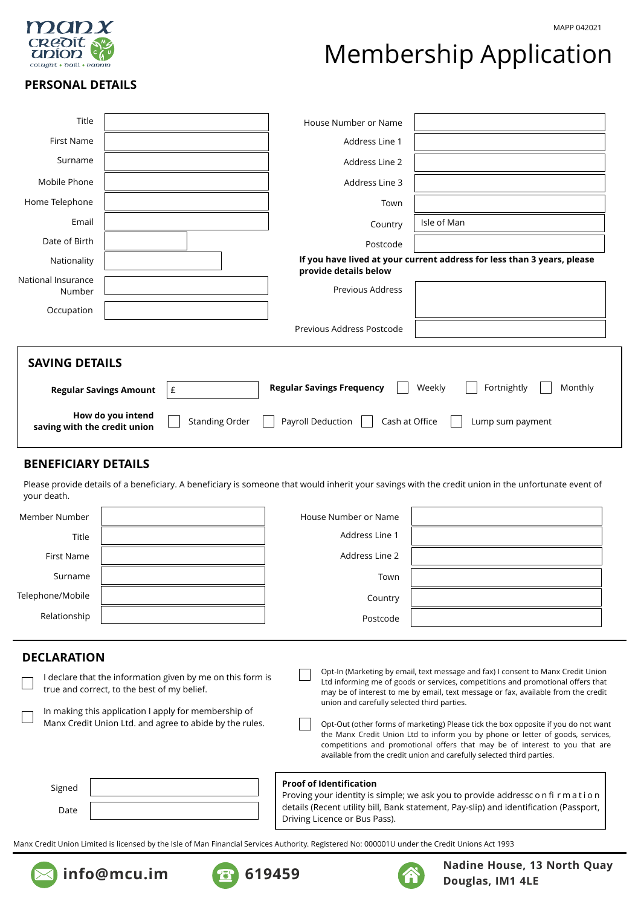

# Membership Application

# **PERSONAL DETAILS**

| Title                                                                                                                                                                                                                                                                        |  |  | House Number or Name      |                                                                         |  |  |
|------------------------------------------------------------------------------------------------------------------------------------------------------------------------------------------------------------------------------------------------------------------------------|--|--|---------------------------|-------------------------------------------------------------------------|--|--|
| <b>First Name</b>                                                                                                                                                                                                                                                            |  |  | Address Line 1            |                                                                         |  |  |
| Surname                                                                                                                                                                                                                                                                      |  |  | Address Line 2            |                                                                         |  |  |
| Mobile Phone                                                                                                                                                                                                                                                                 |  |  | Address Line 3            |                                                                         |  |  |
| Home Telephone                                                                                                                                                                                                                                                               |  |  | Town                      |                                                                         |  |  |
| Email                                                                                                                                                                                                                                                                        |  |  | Country                   | Isle of Man                                                             |  |  |
| Date of Birth                                                                                                                                                                                                                                                                |  |  | Postcode                  |                                                                         |  |  |
| Nationality                                                                                                                                                                                                                                                                  |  |  | provide details below     | If you have lived at your current address for less than 3 years, please |  |  |
| National Insurance                                                                                                                                                                                                                                                           |  |  |                           |                                                                         |  |  |
| Number                                                                                                                                                                                                                                                                       |  |  | Previous Address          |                                                                         |  |  |
| Occupation                                                                                                                                                                                                                                                                   |  |  |                           |                                                                         |  |  |
|                                                                                                                                                                                                                                                                              |  |  | Previous Address Postcode |                                                                         |  |  |
| <b>SAVING DETAILS</b><br>Fortnightly<br><b>Regular Savings Frequency</b><br>Weekly<br>Monthly<br><b>Regular Savings Amount</b><br>£<br>How do you intend<br><b>Standing Order</b><br>Payroll Deduction<br>Cash at Office<br>Lump sum payment<br>saving with the credit union |  |  |                           |                                                                         |  |  |

# **BENEFICIARY DETAILS**

Please provide details of a beneficiary. A beneficiary is someone that would inherit your savings with the credit union in the unfortunate event of your death.

| Member Number    | House Number or Name |  |
|------------------|----------------------|--|
| Title            | Address Line 1       |  |
| First Name       | Address Line 2       |  |
| Surname          | Town                 |  |
| Telephone/Mobile | Country              |  |
| Relationship     | Postcode             |  |

# **DECLARATION**

| I declare that the information given by me on this form is<br>true and correct, to the best of my belief.<br>In making this application I apply for membership of | Opt-In (Marketing by email, text message and fax) I consent to Manx Credit Union<br>Ltd informing me of goods or services, competitions and promotional offers that<br>may be of interest to me by email, text message or fax, available from the credit<br>union and carefully selected third parties.                      |  |
|-------------------------------------------------------------------------------------------------------------------------------------------------------------------|------------------------------------------------------------------------------------------------------------------------------------------------------------------------------------------------------------------------------------------------------------------------------------------------------------------------------|--|
| Manx Credit Union Ltd. and agree to abide by the rules.                                                                                                           | Opt-Out (other forms of marketing) Please tick the box opposite if you do not want<br>the Manx Credit Union Ltd to inform you by phone or letter of goods, services,<br>competitions and promotional offers that may be of interest to you that are<br>available from the credit union and carefully selected third parties. |  |
| Signed<br>Date                                                                                                                                                    | <b>Proof of Identification</b><br>Proving your identity is simple; we ask you to provide addressc on firm ation<br>details (Recent utility bill, Bank statement, Pay-slip) and identification (Passport,<br>Driving Licence or Bus Pass).                                                                                    |  |

Manx Credit Union Limited is licensed by the Isle of Man Financial Services Authority. Registered No: 000001U under the Credit Unions Act 1993







**Nadine House, 13 North Quay info@mcu.im 619459 619459 1998 1998 1998 1998 1999 1999 1999 1999 1999 1999 1999 1999 1999 1999 1999 1999 1999 1999 1999 1999 1999 1999 1999 1999 1999 1999 1999**